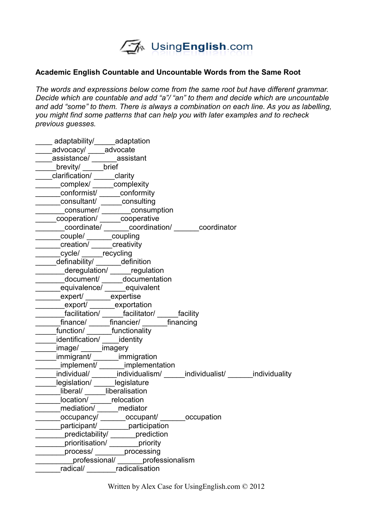

## **Academic English Countable and Uncountable Words from the Same Root**

*The words and expressions below come from the same root but have different grammar. Decide which are countable and add "a"/ "an" to them and decide which are uncountable and add "some" to them. There is always a combination on each line. As you as labelling, you might find some patterns that can help you with later examples and to recheck previous guesses.*

| adaptability/_____adaptation                                         |
|----------------------------------------------------------------------|
| advocacy/ ____advocate                                               |
| assistance/ _______assistant                                         |
| brevity/ _____brief                                                  |
| clarification/ _____clarity                                          |
| complex/ ______ complexity                                           |
| conformist/ ______conformity                                         |
| consultant/ ______consulting                                         |
| consumer/ consumption                                                |
| cooperation/ cooperative                                             |
| __coordinate/ ______coordination/ ______coordinator                  |
| couple/ _______coupling                                              |
| creation/ _____creativity                                            |
| cycle/ recycling                                                     |
| definability/______definition                                        |
| deregulation/ _____regulation                                        |
| document/ documentation                                              |
| equivalence/ ____equivalent                                          |
| expert/ expertise                                                    |
| __export/ _____exportation                                           |
| _facilitation/ _____facilitator/ _____facility                       |
| financing<br>financier/<br>$f$ inance/ $\rule{1em}{0.15mm}$          |
| function/ functionality                                              |
| identification/ identity                                             |
| image/ ______ imagery                                                |
| immigrant/ ______immigration                                         |
| _implement/ ______implementation                                     |
| individual/ individualism/ ______individualist/ _______individuality |
| legislation/ ______legislature                                       |
| liberal/ liberalisation                                              |
| location/ relocation                                                 |
| mediation/ mediator                                                  |
| occupancy/ ______occupant/ _____<br>occupation                       |
| participant/<br>participation                                        |
| predictability/ ______prediction                                     |
| prioritisation/ ________ priority                                    |
| process/<br>processing                                               |
| professional/<br>professionalism<br>radical/ radicalisation          |
|                                                                      |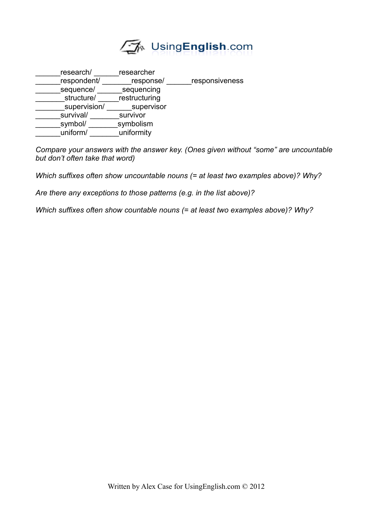

| research/    | researcher    |                |
|--------------|---------------|----------------|
| respondent/  | response/     | responsiveness |
| sequence/    | sequencing    |                |
| structure/   | restructuring |                |
| supervision/ | supervisor    |                |
| survival/    | survivor      |                |
| symbol/      | symbolism     |                |
| uniform/     | uniformity    |                |

*Compare your answers with the answer key. (Ones given without "some" are uncountable but don't often take that word)*

*Which suffixes often show uncountable nouns (= at least two examples above)? Why?*

*Are there any exceptions to those patterns (e.g. in the list above)?*

*Which suffixes often show countable nouns (= at least two examples above)? Why?*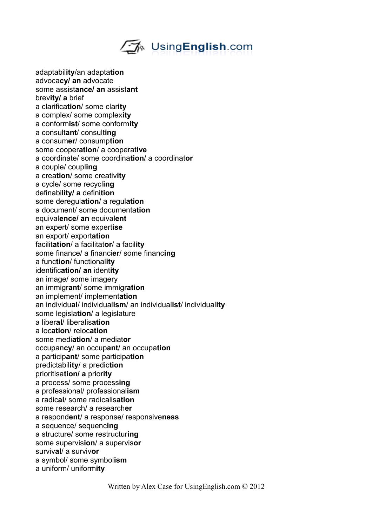

adaptabil**ity**/an adapta**tion** advoca**cy/ an** advocate some assist**ance/ an** assist**ant** brev**ity/ a** brief a clarifica**tion**/ some clar**ity** a complex/ some complex**ity** a conform**ist**/ some conform**ity** a consult**ant**/ consult**ing** a consum**er**/ consump**tion** some cooper**ation**/ a cooperat**ive** a coordinate/ some coordina**tion**/ a coordinat**or** a couple/ coupl**ing** a crea**tion**/ some creativ**ity** a cycle/ some recycl**ing** definabil**ity/ a** defini**tion** some deregul**ation**/ a regul**ation** a document/ some documenta**tion** equival**ence/ an** equival**ent** an expert/ some expert**ise** an export/ export**ation** facilit**ation**/ a facilitat**or**/ a facil**ity** some finance/ a financi**er**/ some financ**ing** a func**tion**/ functional**ity** identific**ation/ an** ident**ity** an image/ some imagery an immigr**ant**/ some immigr**ation** an implement/ implement**ation** an individu**al**/ individual**ism**/ an individual**ist**/ individual**ity** some legisla**tion**/ a legislature a liber**al**/ liberalis**ation** a loc**ation**/ reloc**ation** some medi**ation**/ a mediat**or** occupan**cy**/ an occup**ant**/ an occupa**tion** a particip**ant**/ some participa**tion** predictabil**ity**/ a predic**tion** prioritisa**tion/ a** prior**ity** a process/ some process**ing** a professional/ professional**ism** a radic**al**/ some radicalis**ation** some research/ a research**er** a respond**ent**/ a response/ responsive**ness** a sequence/ sequenc**ing** a structure/ some restructur**ing** some supervis**ion**/ a supervis**or** surviv**al**/ a surviv**or** a symbol/ some symbol**ism** a uniform/ uniform**ity**